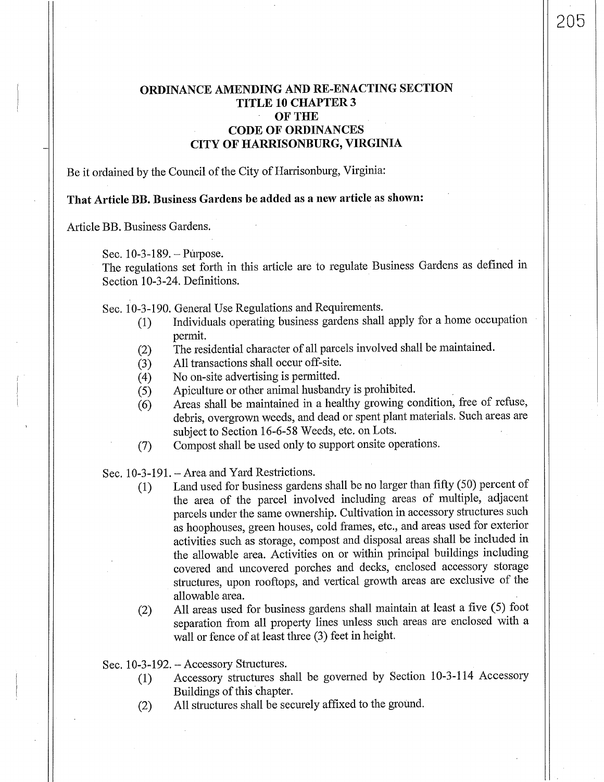## **ORDINANCE AMENDING AND RE-ENACTING SECTION TITLE 10 CHAPTER 3 OFTHE CODE OF ORDINANCES CITY OF HARRISONBURG, VIRGINIA**

205

Be it ordained by the Council of the City of Harrisonburg, Virginia:

## **That Article BB. Business Gardens be added as a new article as shown:**

Article BB. Business Gardens.

Sec. 10-3-189.-Puipose.

The regulations set forth in this article are to regulate Business Gardens as defined in Section 10-3-24. Definitions.

Sec. 10-3-190. General Use Regulations and Requirements.

- (1) Individuals operating business gardens shall apply for a home occupation permit.
- (2) The residential character of all parcels involved shall be maintained.
- 
- (3) All transactions shall occur off-site.<br>(4) No on-site advertising is permitted.
- (4) No on-site advertising is permitted.<br>(5) Apiculture or other animal husband Apiculture or other animal husbandry is prohibited.
- (6) Areas shall be maintained in a healthy growing condition, free of refuse, debris, overgrown weeds, and dead or spent plant materials. Such areas are subject to Section 16-6-58 Weeds, etc. on Lots.
- (7) Compost shall be used only to support onsite operations.

Sec. 10-3-191. - Area and Yard Restrictions.

- (1) Land used for business gardens shall be no larger than fifty (50) percent of the area of the parcel involved including areas of multiple, adjacent parcels under the same ownership. Cultivation in accessory structures such as hoophouses, green houses, cold frames, etc., and areas used for exterior activities such as storage, compost and disposal areas shall be included in the allowable area. Activities on or within principal buildings including covered and uncovered porches and decks, enclosed accessory storage structures, upon rooftops, and vertical growth areas are exclusive of the allowable area.
- (2) All areas used for business gardens shall maintain at least a five (5) foot separation from all property lines unless such areas are enclosed with a wall or fence of at least three (3) feet in height.

Sec. 10-3-192. - Accessory Structures.

- (1) Accessory structures shall be governed by Section 10-3-114 Accessory Buildings of this chapter.
- (2) All structures shall be securely affixed to the ground.